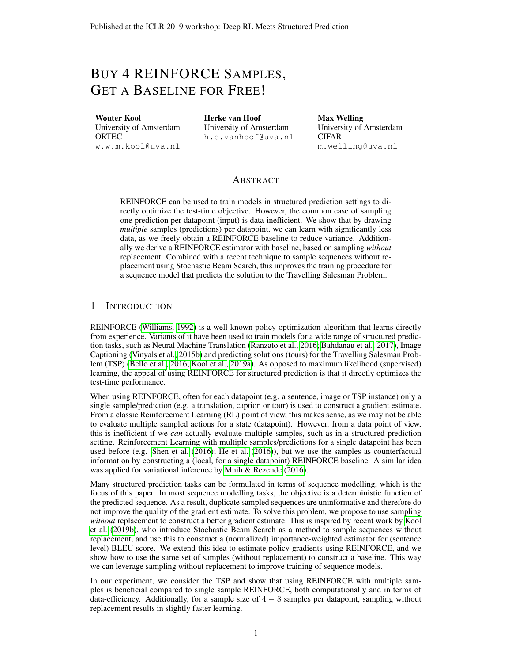# BUY 4 REINFORCE SAMPLES, GET A BASELINE FOR FREE!

Wouter Kool University of Amsterdam ORTEC w.w.m.kool@uva.nl Herke van Hoof University of Amsterdam h.c.vanhoof@uva.nl Max Welling University of Amsterdam CIFAR m.welling@uva.nl

## ABSTRACT

REINFORCE can be used to train models in structured prediction settings to directly optimize the test-time objective. However, the common case of sampling one prediction per datapoint (input) is data-inefficient. We show that by drawing *multiple* samples (predictions) per datapoint, we can learn with significantly less data, as we freely obtain a REINFORCE baseline to reduce variance. Additionally we derive a REINFORCE estimator with baseline, based on sampling *without* replacement. Combined with a recent technique to sample sequences without replacement using Stochastic Beam Search, this improves the training procedure for a sequence model that predicts the solution to the Travelling Salesman Problem.

## 1 INTRODUCTION

REINFORCE [\(Williams, 1992\)](#page-7-0) is a well known policy optimization algorithm that learns directly from experience. Variants of it have been used to train models for a wide range of structured prediction tasks, such as Neural Machine Translation [\(Ranzato et al., 2016;](#page-6-0) [Bahdanau et al., 2017\)](#page-6-1), Image Captioning [\(Vinyals et al., 2015b\)](#page-7-1) and predicting solutions (tours) for the Travelling Salesman Problem (TSP) [\(Bello et al., 2016;](#page-6-2) [Kool et al., 2019a\)](#page-6-3). As opposed to maximum likelihood (supervised) learning, the appeal of using REINFORCE for structured prediction is that it directly optimizes the test-time performance.

When using REINFORCE, often for each datapoint (e.g. a sentence, image or TSP instance) only a single sample/prediction (e.g. a translation, caption or tour) is used to construct a gradient estimate. From a classic Reinforcement Learning (RL) point of view, this makes sense, as we may not be able to evaluate multiple sampled actions for a state (datapoint). However, from a data point of view, this is inefficient if we *can* actually evaluate multiple samples, such as in a structured prediction setting. Reinforcement Learning with multiple samples/predictions for a single datapoint has been used before (e.g. [Shen et al.](#page-6-4) [\(2016\)](#page-6-4); [He et al.](#page-6-5) [\(2016\)](#page-6-5)), but we use the samples as counterfactual information by constructing a (local, for a single datapoint) REINFORCE baseline. A similar idea was applied for variational inference by [Mnih & Rezende](#page-6-6) [\(2016\)](#page-6-6).

Many structured prediction tasks can be formulated in terms of sequence modelling, which is the focus of this paper. In most sequence modelling tasks, the objective is a deterministic function of the predicted sequence. As a result, duplicate sampled sequences are uninformative and therefore do not improve the quality of the gradient estimate. To solve this problem, we propose to use sampling *without* replacement to construct a better gradient estimate. This is inspired by recent work by [Kool](#page-6-7) [et al.](#page-6-7) [\(2019b\)](#page-6-7), who introduce Stochastic Beam Search as a method to sample sequences without replacement, and use this to construct a (normalized) importance-weighted estimator for (sentence level) BLEU score. We extend this idea to estimate policy gradients using REINFORCE, and we show how to use the same set of samples (without replacement) to construct a baseline. This way we can leverage sampling without replacement to improve training of sequence models.

In our experiment, we consider the TSP and show that using REINFORCE with multiple samples is beneficial compared to single sample REINFORCE, both computationally and in terms of data-efficiency. Additionally, for a sample size of  $4 - 8$  samples per datapoint, sampling without replacement results in slightly faster learning.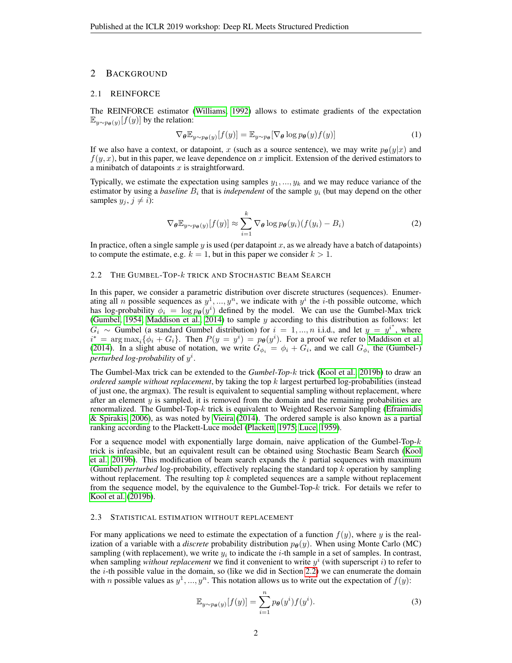## 2 BACKGROUND

#### 2.1 REINFORCE

The REINFORCE estimator [\(Williams, 1992\)](#page-7-0) allows to estimate gradients of the expectation  $\mathbb{E}_{y \sim p_{\boldsymbol{\theta}}(y)}[f(y)]$  by the relation:

<span id="page-1-3"></span>
$$
\nabla_{\theta} \mathbb{E}_{y \sim p_{\theta}(y)}[f(y)] = \mathbb{E}_{y \sim p_{\theta}}[\nabla_{\theta} \log p_{\theta}(y)f(y)] \tag{1}
$$

If we also have a context, or datapoint, x (such as a source sentence), we may write  $p_{\theta}(y|x)$  and  $f(y, x)$ , but in this paper, we leave dependence on x implicit. Extension of the derived estimators to a minibatch of datapoints  $x$  is straightforward.

Typically, we estimate the expectation using samples  $y_1, ..., y_k$  and we may reduce variance of the estimator by using a *baseline*  $B_i$  that is *independent* of the sample  $y_i$  (but may depend on the other samples  $y_i, j \neq i$ :

<span id="page-1-2"></span>
$$
\nabla_{\theta} \mathbb{E}_{y \sim p_{\theta}(y)}[f(y)] \approx \sum_{i=1}^{k} \nabla_{\theta} \log p_{\theta}(y_i) (f(y_i) - B_i)
$$
 (2)

In practice, often a single sample  $y$  is used (per datapoint x, as we already have a batch of datapoints) to compute the estimate, e.g.  $k = 1$ , but in this paper we consider  $k > 1$ .

## <span id="page-1-0"></span>2.2 THE GUMBEL-TOP- $k$  TRICK AND STOCHASTIC BEAM SEARCH

In this paper, we consider a parametric distribution over discrete structures (sequences). Enumerating all *n* possible sequences as  $y^1, ..., y^n$ , we indicate with  $y^i$  the *i*-th possible outcome, which has log-probability  $\phi_i = \log p_{\theta}(y^i)$  defined by the model. We can use the Gumbel-Max trick [\(Gumbel, 1954;](#page-6-8) [Maddison et al., 2014\)](#page-6-9) to sample y according to this distribution as follows: let  $G_i \sim$  Gumbel (a standard Gumbel distribution) for  $i = 1, ..., n$  i.i.d., and let  $y = y^{i^*}$ , where  $i^* = \arg \max_i {\{\phi_i + G_i\}}$ . Then  $P(y = y^i) = p_{\theta}(y^i)$ . For a proof we refer to [Maddison et al.](#page-6-9) [\(2014\)](#page-6-9). In a slight abuse of notation, we write  $G_{\phi_i} = \phi_i + G_i$ , and we call  $G_{\phi_i}$  the (Gumbel-) perturbed log-probability of  $y^i$ .

The Gumbel-Max trick can be extended to the *Gumbel-Top-*k trick [\(Kool et al., 2019b\)](#page-6-7) to draw an *ordered sample without replacement*, by taking the top k largest perturbed log-probabilities (instead of just one, the argmax). The result is equivalent to sequential sampling without replacement, where after an element  $y$  is sampled, it is removed from the domain and the remaining probabilities are renormalized. The Gumbel-Top- $k$  trick is equivalent to Weighted Reservoir Sampling [\(Efraimidis](#page-6-10) [& Spirakis, 2006\)](#page-6-10), as was noted by [Vieira](#page-6-11) [\(2014\)](#page-6-11). The ordered sample is also known as a partial ranking according to the Plackett-Luce model [\(Plackett, 1975;](#page-6-12) [Luce, 1959\)](#page-6-13).

For a sequence model with exponentially large domain, naive application of the Gumbel-Top- $k$ trick is infeasible, but an equivalent result can be obtained using Stochastic Beam Search [\(Kool](#page-6-7) [et al., 2019b\)](#page-6-7). This modification of beam search expands the  $k$  partial sequences with maximum (Gumbel) *perturbed* log-probability, effectively replacing the standard top k operation by sampling without replacement. The resulting top  $k$  completed sequences are a sample without replacement from the sequence model, by the equivalence to the Gumbel-Top-k trick. For details we refer to [Kool et al.](#page-6-7) [\(2019b\)](#page-6-7).

#### 2.3 STATISTICAL ESTIMATION WITHOUT REPLACEMENT

For many applications we need to estimate the expectation of a function  $f(y)$ , where y is the realization of a variable with a *discrete* probability distribution  $p_{\theta}(y)$ . When using Monte Carlo (MC) sampling (with replacement), we write  $y_i$  to indicate the *i*-th sample in a set of samples. In contrast, when sampling *without replacement* we find it convenient to write  $y^i$  (with superscript i) to refer to the  $i$ -th possible value in the domain, so (like we did in Section [2.2\)](#page-1-0) we can enumerate the domain with *n* possible values as  $y^1, ..., y^n$ . This notation allows us to write out the expectation of  $f(y)$ :

<span id="page-1-1"></span>
$$
\mathbb{E}_{y \sim p_{\boldsymbol{\theta}}(y)}[f(y)] = \sum_{i=1}^{n} p_{\boldsymbol{\theta}}(y^i) f(y^i).
$$
 (3)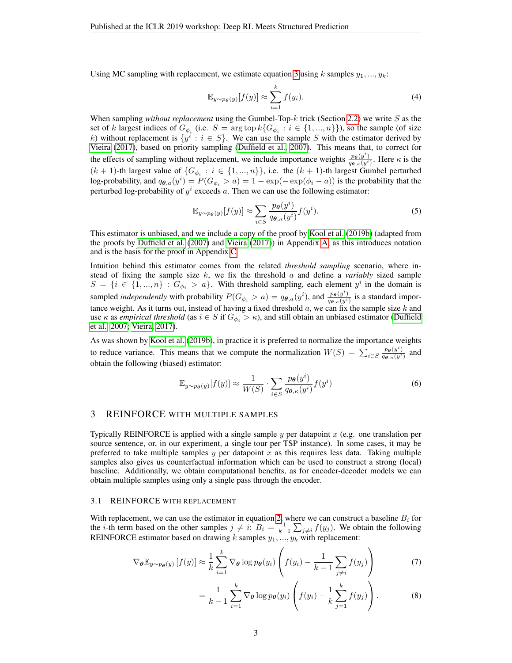Using MC sampling with replacement, we estimate equation [3](#page-1-1) using k samples  $y_1, \ldots, y_k$ :

$$
\mathbb{E}_{y \sim p_{\theta}(y)}[f(y)] \approx \sum_{i=1}^{k} f(y_i). \tag{4}
$$

When sampling *without replacement* using the Gumbel-Top-k trick (Section [2.2\)](#page-1-0) we write S as the set of k largest indices of  $G_{\phi_i}$  (i.e.  $S = \arg \text{top } k \{ G_{\phi_i} : i \in \{1, ..., n\} \}$ ), so the sample (of size k) without replacement is  $\{y^i : i \in S\}$ . We can use the sample S with the estimator derived by [Vieira](#page-6-14) [\(2017\)](#page-6-14), based on priority sampling [\(Duffield et al., 2007\)](#page-6-15). This means that, to correct for the effects of sampling without replacement, we include importance weights  $\frac{p_{\theta}(y^i)}{q_{\theta,\kappa}(y^i)}$ . Here  $\kappa$  is the  $(k + 1)$ -th largest value of  $\{G_{\phi_i} : i \in \{1, ..., n\}\}\)$ , i.e. the  $(k + 1)$ -th largest Gumbel perturbed log-probability, and  $q_{\theta,a}(y^i) = P(G_{\phi_i} > a) = 1 - \exp(-\exp(\phi_i - a))$  is the probability that the perturbed log-probability of  $y^i$  exceeds a. Then we can use the following estimator:

<span id="page-2-1"></span>
$$
\mathbb{E}_{y \sim p_{\theta}(y)}[f(y)] \approx \sum_{i \in S} \frac{p_{\theta}(y^i)}{q_{\theta,\kappa}(y^i)} f(y^i). \tag{5}
$$

This estimator is unbiased, and we include a copy of the proof by [Kool et al.](#page-6-7) [\(2019b\)](#page-6-7) (adapted from the proofs by [Duffield et al.](#page-6-15) [\(2007\)](#page-6-15) and [Vieira](#page-6-14) [\(2017\)](#page-6-14)) in Appendix [A,](#page-8-0) as this introduces notation and is the basis for the proof in Appendix [C.](#page-10-0)

Intuition behind this estimator comes from the related *threshold sampling* scenario, where instead of fixing the sample size k, we fix the threshold a and define a *variably* sized sample  $S = \{i \in \{1, ..., n\} : G_{\phi_i} > a\}$ . With threshold sampling, each element  $y^i$  in the domain is sampled *independently* with probability  $P(G_{\phi_i} > a) = q_{\theta, a}(y^i)$ , and  $\frac{p_{\theta}(y^i)}{q_{\theta, a}(y^i)}$  is a standard importance weight. As it turns out, instead of having a fixed threshold  $a$ , we can fix the sample size  $k$  and use  $\kappa$  as *empirical threshold* (as  $i \in S$  if  $G_{\phi_i} > \kappa$ ), and still obtain an unbiased estimator [\(Duffield](#page-6-15) [et al., 2007;](#page-6-15) [Vieira, 2017\)](#page-6-14).

As was shown by [Kool et al.](#page-6-7) [\(2019b\)](#page-6-7), in practice it is preferred to normalize the importance weights to reduce variance. This means that we compute the normalization  $W(S) = \sum_{i \in S} \frac{p_{\theta}(y^i)}{q_{\theta,\kappa}(y^i)}$  and obtain the following (biased) estimator:

<span id="page-2-2"></span>
$$
\mathbb{E}_{y \sim p_{\theta}(y)}[f(y)] \approx \frac{1}{W(S)} \cdot \sum_{i \in S} \frac{p_{\theta}(y^i)}{q_{\theta,\kappa}(y^i)} f(y^i)
$$
(6)

# 3 REINFORCE WITH MULTIPLE SAMPLES

Typically REINFORCE is applied with a single sample y per datapoint  $x$  (e.g. one translation per source sentence, or, in our experiment, a single tour per TSP instance). In some cases, it may be preferred to take multiple samples  $y$  per datapoint  $x$  as this requires less data. Taking multiple samples also gives us counterfactual information which can be used to construct a strong (local) baseline. Additionally, we obtain computational benefits, as for encoder-decoder models we can obtain multiple samples using only a single pass through the encoder.

#### <span id="page-2-3"></span>3.1 REINFORCE WITH REPLACEMENT

With replacement, we can use the estimator in equation [2,](#page-1-2) where we can construct a baseline  $B_i$  for the *i*-th term based on the other samples  $j \neq i$ :  $B_i = \frac{1}{k-1} \sum_{j \neq i} f(y_j)$ . We obtain the following REINFORCE estimator based on drawing k samples  $y_1, ..., y_k$  with replacement:

$$
\nabla_{\theta} \mathbb{E}_{y \sim p_{\theta}(y)} [f(y)] \approx \frac{1}{k} \sum_{i=1}^{k} \nabla_{\theta} \log p_{\theta}(y_i) \left( f(y_i) - \frac{1}{k-1} \sum_{j \neq i} f(y_j) \right) \tag{7}
$$

<span id="page-2-4"></span><span id="page-2-0"></span>
$$
= \frac{1}{k-1} \sum_{i=1}^{k} \nabla_{\theta} \log p_{\theta}(y_i) \left( f(y_i) - \frac{1}{k} \sum_{j=1}^{k} f(y_j) \right). \tag{8}
$$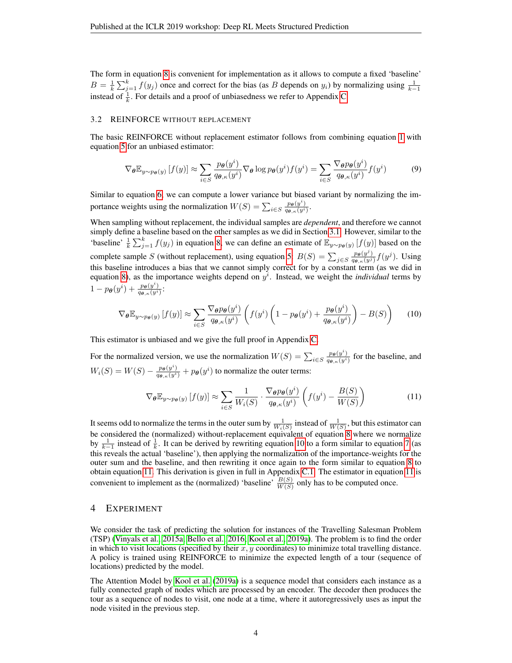The form in equation [8](#page-2-0) is convenient for implementation as it allows to compute a fixed 'baseline'  $B = \frac{1}{k} \sum_{j=1}^{k} f(y_j)$  once and correct for the bias (as B depends on  $y_i$ ) by normalizing using  $\frac{1}{k-1}$ instead of  $\frac{1}{k}$ . For details and a proof of unbiasedness we refer to Appendix [C.](#page-10-0)

#### 3.2 REINFORCE WITHOUT REPLACEMENT

The basic REINFORCE without replacement estimator follows from combining equation [1](#page-1-3) with equation [5](#page-2-1) for an unbiased estimator:

$$
\nabla_{\theta} \mathbb{E}_{y \sim p_{\theta}(y)} \left[ f(y) \right] \approx \sum_{i \in S} \frac{p_{\theta}(y^i)}{q_{\theta,\kappa}(y^i)} \nabla_{\theta} \log p_{\theta}(y^i) f(y^i) = \sum_{i \in S} \frac{\nabla_{\theta} p_{\theta}(y^i)}{q_{\theta,\kappa}(y^i)} f(y^i)
$$
(9)

Similar to equation [6,](#page-2-2) we can compute a lower variance but biased variant by normalizing the importance weights using the normalization  $W(S) = \sum_{i \in S} \frac{p_{\theta}(y^i)}{q_{\theta,\kappa}(y^i)}$ .

When sampling without replacement, the individual samples are *dependent*, and therefore we cannot simply define a baseline based on the other samples as we did in Section [3.1.](#page-2-3) However, similar to the 'baseline'  $\frac{1}{k} \sum_{j=1}^k f(y_j)$  in equation [8,](#page-2-0) we can define an estimate of  $\mathbb{E}_{y \sim p_{\theta}(y)} [f(y)]$  based on the complete sample S (without replacement), using equation [5:](#page-2-1)  $B(S) = \sum_{j \in S} \frac{p_{\theta}(y^j)}{q_{\theta,\kappa}(y^j)} f(y^j)$ . Using this baseline introduces a bias that we cannot simply correct for by a constant term (as we did in equation [8\)](#page-2-0), as the importance weights depend on  $y<sup>i</sup>$ . Instead, we weight the *individual* terms by  $1-p_{\boldsymbol{\theta}}(y^i)+\frac{p_{\boldsymbol{\theta}}(y^i)}{q_{\boldsymbol{\theta},\kappa}(y^i)}$ :

<span id="page-3-0"></span>
$$
\nabla_{\theta} \mathbb{E}_{y \sim p_{\theta}(y)} \left[ f(y) \right] \approx \sum_{i \in S} \frac{\nabla_{\theta} p_{\theta}(y^i)}{q_{\theta, \kappa}(y^i)} \left( f(y^i) \left( 1 - p_{\theta}(y^i) + \frac{p_{\theta}(y^i)}{q_{\theta, \kappa}(y^i)} \right) - B(S) \right) \tag{10}
$$

This estimator is unbiased and we give the full proof in Appendix [C.](#page-10-0)

For the normalized version, we use the normalization  $W(S) = \sum_{i \in S} \frac{p_{\theta}(y^i)}{q_{\theta,\kappa}(y^i)}$  for the baseline, and  $W_i(S) = W(S) - \frac{p_{\theta}(y^i)}{q_{\theta,\kappa}(y^i)} + p_{\theta}(y^i)$  to normalize the outer terms:

<span id="page-3-1"></span>
$$
\nabla_{\theta} \mathbb{E}_{y \sim p_{\theta}(y)} [f(y)] \approx \sum_{i \in S} \frac{1}{W_i(S)} \cdot \frac{\nabla_{\theta} p_{\theta}(y^i)}{q_{\theta, \kappa}(y^i)} \left( f(y^i) - \frac{B(S)}{W(S)} \right)
$$
(11)

It seems odd to normalize the terms in the outer sum by  $\frac{1}{W_i(S)}$  instead of  $\frac{1}{W(S)}$ , but this estimator can be considered the (normalized) without-replacement equivalent of equation [8](#page-2-0) where we normalize by  $\frac{1}{k-1}$  instead of  $\frac{1}{k}$ . It can be derived by rewriting equation [10](#page-3-0) to a form similar to equation [7](#page-2-4) (as this reveals the actual 'baseline'), then applying the normalization of the importance-weights for the outer sum and the baseline, and then rewriting it once again to the form similar to equation [8](#page-2-0) to obtain equation [11.](#page-3-1) This derivation is given in full in Appendix [C.1.](#page-12-0) The estimator in equation [11](#page-3-1) is convenient to implement as the (normalized) 'baseline'  $\frac{B(S)}{W(S)}$  only has to be computed once.

## 4 EXPERIMENT

We consider the task of predicting the solution for instances of the Travelling Salesman Problem (TSP) [\(Vinyals et al., 2015a;](#page-6-16) [Bello et al., 2016;](#page-6-2) [Kool et al., 2019a\)](#page-6-3). The problem is to find the order in which to visit locations (specified by their  $x, y$  coordinates) to minimize total travelling distance. A policy is trained using REINFORCE to minimize the expected length of a tour (sequence of locations) predicted by the model.

The Attention Model by [Kool et al.](#page-6-3) [\(2019a\)](#page-6-3) is a sequence model that considers each instance as a fully connected graph of nodes which are processed by an encoder. The decoder then produces the tour as a sequence of nodes to visit, one node at a time, where it autoregressively uses as input the node visited in the previous step.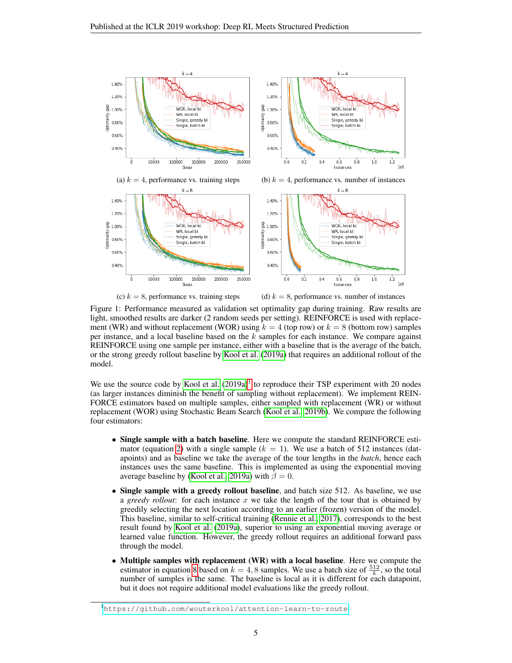<span id="page-4-1"></span>

(c)  $k = 8$ , performance vs. training steps (d)  $k = 8$ , performance vs. number of instances

Figure 1: Performance measured as validation set optimality gap during training. Raw results are light, smoothed results are darker (2 random seeds per setting). REINFORCE is used with replacement (WR) and without replacement (WOR) using  $k = 4$  (top row) or  $k = 8$  (bottom row) samples per instance, and a local baseline based on the k samples for each instance. We compare against REINFORCE using one sample per instance, either with a baseline that is the average of the batch, or the strong greedy rollout baseline by [Kool et al.](#page-6-3) [\(2019a\)](#page-6-3) that requires an additional rollout of the model.

We use the source code by [Kool et al.](#page-6-3)  $(2019a)^{1}$  $(2019a)^{1}$  $(2019a)^{1}$  $(2019a)^{1}$  to reproduce their TSP experiment with 20 nodes (as larger instances diminish the benefit of sampling without replacement). We implement REIN-FORCE estimators based on multiple samples, either sampled with replacement (WR) or without replacement (WOR) using Stochastic Beam Search [\(Kool et al., 2019b\)](#page-6-7). We compare the following four estimators:

- Single sample with a batch baseline. Here we compute the standard REINFORCE esti-mator (equation [2\)](#page-1-2) with a single sample  $(k = 1)$ . We use a batch of 512 instances (datapoints) and as baseline we take the average of the tour lengths in the *batch*, hence each instances uses the same baseline. This is implemented as using the exponential moving average baseline by [\(Kool et al., 2019a\)](#page-6-3) with  $\beta = 0$ .
- Single sample with a greedy rollout baseline, and batch size 512. As baseline, we use a *greedy rollout*: for each instance  $x$  we take the length of the tour that is obtained by greedily selecting the next location according to an earlier (frozen) version of the model. This baseline, similar to self-critical training [\(Rennie et al., 2017\)](#page-6-17), corresponds to the best result found by [Kool et al.](#page-6-3) [\(2019a\)](#page-6-3), superior to using an exponential moving average or learned value function. However, the greedy rollout requires an additional forward pass through the model.
- Multiple samples with replacement (WR) with a local baseline. Here we compute the estimator in equation [8](#page-2-0) based on  $k = 4, 8$  samples. We use a batch size of  $\frac{512}{k}$ , so the total number of samples is the same. The baseline is local as it is different for each datapoint, but it does not require additional model evaluations like the greedy rollout.

<span id="page-4-0"></span><sup>1</sup><https://github.com/wouterkool/attention-learn-to-route>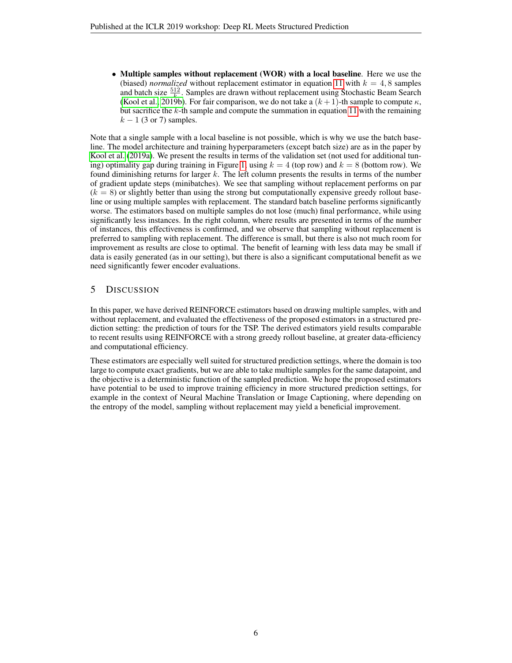• Multiple samples without replacement (WOR) with a local baseline. Here we use the (biased) *normalized* without replacement estimator in equation [11](#page-3-1) with  $k = 4, 8$  samples and batch size  $\frac{512}{k}$ . Samples are drawn without replacement using Stochastic Beam Search [\(Kool et al., 2019b\)](#page-6-7). For fair comparison, we do not take a  $(k + 1)$ -th sample to compute  $\kappa$ , but sacrifice the  $k$ -th sample and compute the summation in equation [11](#page-3-1) with the remaining  $k - 1$  (3 or 7) samples.

Note that a single sample with a local baseline is not possible, which is why we use the batch baseline. The model architecture and training hyperparameters (except batch size) are as in the paper by [Kool et al.](#page-6-3) [\(2019a\)](#page-6-3). We present the results in terms of the validation set (not used for additional tun-ing) optimality gap during training in Figure [1,](#page-4-1) using  $k = 4$  (top row) and  $k = 8$  (bottom row). We found diminishing returns for larger  $k$ . The left column presents the results in terms of the number of gradient update steps (minibatches). We see that sampling without replacement performs on par  $(k = 8)$  or slightly better than using the strong but computationally expensive greedy rollout baseline or using multiple samples with replacement. The standard batch baseline performs significantly worse. The estimators based on multiple samples do not lose (much) final performance, while using significantly less instances. In the right column, where results are presented in terms of the number of instances, this effectiveness is confirmed, and we observe that sampling without replacement is preferred to sampling with replacement. The difference is small, but there is also not much room for improvement as results are close to optimal. The benefit of learning with less data may be small if data is easily generated (as in our setting), but there is also a significant computational benefit as we need significantly fewer encoder evaluations.

# 5 DISCUSSION

In this paper, we have derived REINFORCE estimators based on drawing multiple samples, with and without replacement, and evaluated the effectiveness of the proposed estimators in a structured prediction setting: the prediction of tours for the TSP. The derived estimators yield results comparable to recent results using REINFORCE with a strong greedy rollout baseline, at greater data-efficiency and computational efficiency.

These estimators are especially well suited for structured prediction settings, where the domain is too large to compute exact gradients, but we are able to take multiple samples for the same datapoint, and the objective is a deterministic function of the sampled prediction. We hope the proposed estimators have potential to be used to improve training efficiency in more structured prediction settings, for example in the context of Neural Machine Translation or Image Captioning, where depending on the entropy of the model, sampling without replacement may yield a beneficial improvement.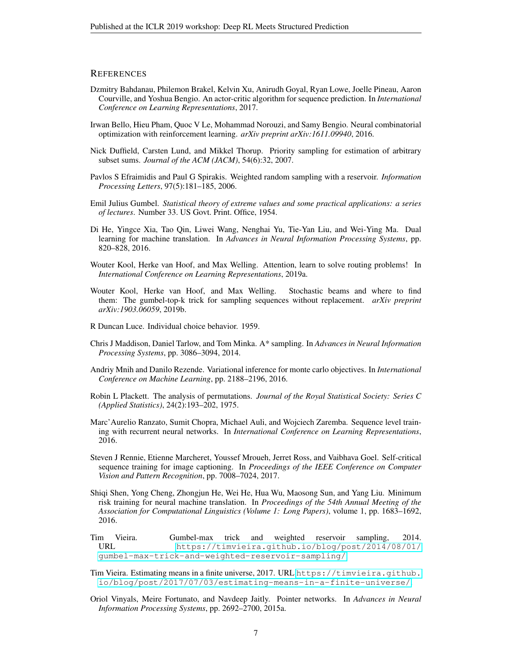## **REFERENCES**

- <span id="page-6-1"></span>Dzmitry Bahdanau, Philemon Brakel, Kelvin Xu, Anirudh Goyal, Ryan Lowe, Joelle Pineau, Aaron Courville, and Yoshua Bengio. An actor-critic algorithm for sequence prediction. In *International Conference on Learning Representations*, 2017.
- <span id="page-6-2"></span>Irwan Bello, Hieu Pham, Quoc V Le, Mohammad Norouzi, and Samy Bengio. Neural combinatorial optimization with reinforcement learning. *arXiv preprint arXiv:1611.09940*, 2016.
- <span id="page-6-15"></span>Nick Duffield, Carsten Lund, and Mikkel Thorup. Priority sampling for estimation of arbitrary subset sums. *Journal of the ACM (JACM)*, 54(6):32, 2007.
- <span id="page-6-10"></span>Pavlos S Efraimidis and Paul G Spirakis. Weighted random sampling with a reservoir. *Information Processing Letters*, 97(5):181–185, 2006.
- <span id="page-6-8"></span>Emil Julius Gumbel. *Statistical theory of extreme values and some practical applications: a series of lectures*. Number 33. US Govt. Print. Office, 1954.
- <span id="page-6-5"></span>Di He, Yingce Xia, Tao Qin, Liwei Wang, Nenghai Yu, Tie-Yan Liu, and Wei-Ying Ma. Dual learning for machine translation. In *Advances in Neural Information Processing Systems*, pp. 820–828, 2016.
- <span id="page-6-3"></span>Wouter Kool, Herke van Hoof, and Max Welling. Attention, learn to solve routing problems! In *International Conference on Learning Representations*, 2019a.
- <span id="page-6-7"></span>Wouter Kool, Herke van Hoof, and Max Welling. Stochastic beams and where to find them: The gumbel-top-k trick for sampling sequences without replacement. *arXiv preprint arXiv:1903.06059*, 2019b.
- <span id="page-6-13"></span>R Duncan Luce. Individual choice behavior. 1959.
- <span id="page-6-9"></span>Chris J Maddison, Daniel Tarlow, and Tom Minka. A\* sampling. In *Advances in Neural Information Processing Systems*, pp. 3086–3094, 2014.
- <span id="page-6-6"></span>Andriy Mnih and Danilo Rezende. Variational inference for monte carlo objectives. In *International Conference on Machine Learning*, pp. 2188–2196, 2016.
- <span id="page-6-12"></span>Robin L Plackett. The analysis of permutations. *Journal of the Royal Statistical Society: Series C (Applied Statistics)*, 24(2):193–202, 1975.
- <span id="page-6-0"></span>Marc'Aurelio Ranzato, Sumit Chopra, Michael Auli, and Wojciech Zaremba. Sequence level training with recurrent neural networks. In *International Conference on Learning Representations*, 2016.
- <span id="page-6-17"></span>Steven J Rennie, Etienne Marcheret, Youssef Mroueh, Jerret Ross, and Vaibhava Goel. Self-critical sequence training for image captioning. In *Proceedings of the IEEE Conference on Computer Vision and Pattern Recognition*, pp. 7008–7024, 2017.
- <span id="page-6-4"></span>Shiqi Shen, Yong Cheng, Zhongjun He, Wei He, Hua Wu, Maosong Sun, and Yang Liu. Minimum risk training for neural machine translation. In *Proceedings of the 54th Annual Meeting of the Association for Computational Linguistics (Volume 1: Long Papers)*, volume 1, pp. 1683–1692, 2016.
- <span id="page-6-11"></span>Tim Vieira. Gumbel-max trick and weighted reservoir sampling, 2014. URL [https://timvieira.github.io/blog/post/2014/08/01/](https://timvieira.github.io/blog/post/2014/08/01/gumbel-max-trick-and-weighted-reservoir-sampling/) [gumbel-max-trick-and-weighted-reservoir-sampling/](https://timvieira.github.io/blog/post/2014/08/01/gumbel-max-trick-and-weighted-reservoir-sampling/).
- <span id="page-6-14"></span>Tim Vieira. Estimating means in a finite universe, 2017. URL [https://timvieira.github.](https://timvieira.github.io/blog/post/2017/07/03/estimating-means-in-a-finite-universe/) [io/blog/post/2017/07/03/estimating-means-in-a-finite-universe/](https://timvieira.github.io/blog/post/2017/07/03/estimating-means-in-a-finite-universe/).
- <span id="page-6-16"></span>Oriol Vinyals, Meire Fortunato, and Navdeep Jaitly. Pointer networks. In *Advances in Neural Information Processing Systems*, pp. 2692–2700, 2015a.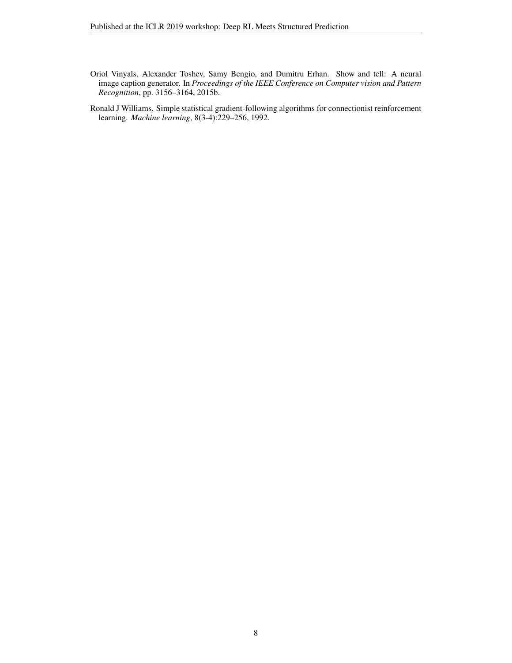- <span id="page-7-1"></span>Oriol Vinyals, Alexander Toshev, Samy Bengio, and Dumitru Erhan. Show and tell: A neural image caption generator. In *Proceedings of the IEEE Conference on Computer vision and Pattern Recognition*, pp. 3156–3164, 2015b.
- <span id="page-7-0"></span>Ronald J Williams. Simple statistical gradient-following algorithms for connectionist reinforcement learning. *Machine learning*, 8(3-4):229–256, 1992.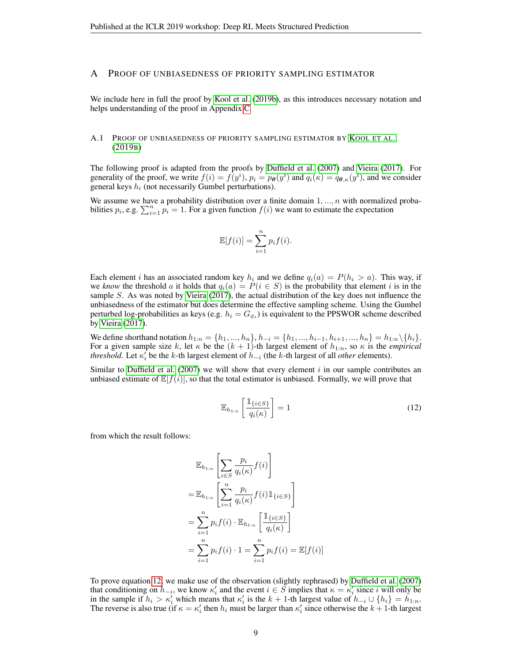#### <span id="page-8-0"></span>A PROOF OF UNBIASEDNESS OF PRIORITY SAMPLING ESTIMATOR

We include here in full the proof by [Kool et al.](#page-6-7) [\(2019b\)](#page-6-7), as this introduces necessary notation and helps understanding of the proof in Appendix [C.](#page-10-0)

#### A.1 PROOF OF UNBIASEDNESS OF PRIORITY SAMPLING ESTIMATOR BY K[OOL ET AL](#page-6-7). [\(2019](#page-6-7)B)

The following proof is adapted from the proofs by [Duffield et al.](#page-6-15) [\(2007\)](#page-6-15) and [Vieira](#page-6-14) [\(2017\)](#page-6-14). For generality of the proof, we write  $f(i) = f(y^i)$ ,  $p_i = p_{\theta}(y^i)$  and  $q_i(\kappa) = q_{\theta,\kappa}(y^i)$ , and we consider general keys  $h_i$  (not necessarily Gumbel perturbations).

We assume we have a probability distribution over a finite domain  $1, ..., n$  with normalized probabilities  $p_i$ , e.g.  $\sum_{i=1}^n p_i = 1$ . For a given function  $f(i)$  we want to estimate the expectation

$$
\mathbb{E}[f(i)] = \sum_{i=1}^{n} p_i f(i).
$$

Each element i has an associated random key  $h_i$  and we define  $q_i(a) = P(h_i > a)$ . This way, if we *know* the threshold a it holds that  $q_i(a) = P(i \in S)$  is the probability that element i is in the sample S. As was noted by [Vieira](#page-6-14) [\(2017\)](#page-6-14), the actual distribution of the key does not influence the unbiasedness of the estimator but does determine the effective sampling scheme. Using the Gumbel perturbed log-probabilities as keys (e.g.  $h_i = G_{\phi_i}$ ) is equivalent to the PPSWOR scheme described by [Vieira](#page-6-14) [\(2017\)](#page-6-14).

We define shorthand notation  $h_{1:n} = \{h_1, ..., h_n\}$ ,  $h_{-i} = \{h_1, ..., h_{i-1}, h_{i+1}, ..., h_n\} = h_{1:n} \setminus \{h_i\}$ . For a given sample size k, let  $\kappa$  be the  $(k + 1)$ -th largest element of  $h_{1:n}$ , so  $\kappa$  is the *empirical threshold*. Let  $\kappa_i^{\prime}$  be the k-th largest element of  $h_{-i}$  (the k-th largest of all *other* elements).

Similar to [Duffield et al.](#page-6-15) [\(2007\)](#page-6-15) we will show that every element  $i$  in our sample contributes an unbiased estimate of  $\mathbb{E}[f(i)]$ , so that the total estimator is unbiased. Formally, we will prove that

<span id="page-8-1"></span>
$$
\mathbb{E}_{h_{1:n}}\left[\frac{\mathbb{1}_{\{i\in S\}}}{q_i(\kappa)}\right] = 1\tag{12}
$$

from which the result follows:

$$
\mathbb{E}_{h_{1:n}}\left[\sum_{i \in S} \frac{p_i}{q_i(\kappa)} f(i)\right]
$$
  
\n
$$
= \mathbb{E}_{h_{1:n}}\left[\sum_{i=1}^n \frac{p_i}{q_i(\kappa)} f(i) \mathbb{1}_{\{i \in S\}}\right]
$$
  
\n
$$
= \sum_{i=1}^n p_i f(i) \cdot \mathbb{E}_{h_{1:n}}\left[\frac{\mathbb{1}_{\{i \in S\}}}{q_i(\kappa)}\right]
$$
  
\n
$$
= \sum_{i=1}^n p_i f(i) \cdot 1 = \sum_{i=1}^n p_i f(i) = \mathbb{E}[f(i)]
$$

To prove equation [12,](#page-8-1) we make use of the observation (slightly rephrased) by [Duffield et al.](#page-6-15) [\(2007\)](#page-6-15) that conditioning on  $h_{-i}$ , we know  $\kappa'_i$  and the event  $i \in S$  implies that  $\kappa = \kappa'_i$  since i will only be in the sample if  $h_i > \kappa'_i$  which means that  $\kappa'_i$  is the  $k + 1$ -th largest value of  $h_{-i} \cup \{h_i\} = h_{1:n}$ . The reverse is also true (if  $\kappa = \kappa'_i$  then  $h_i$  must be larger than  $\kappa'_i$  since otherwise the  $k + 1$ -th largest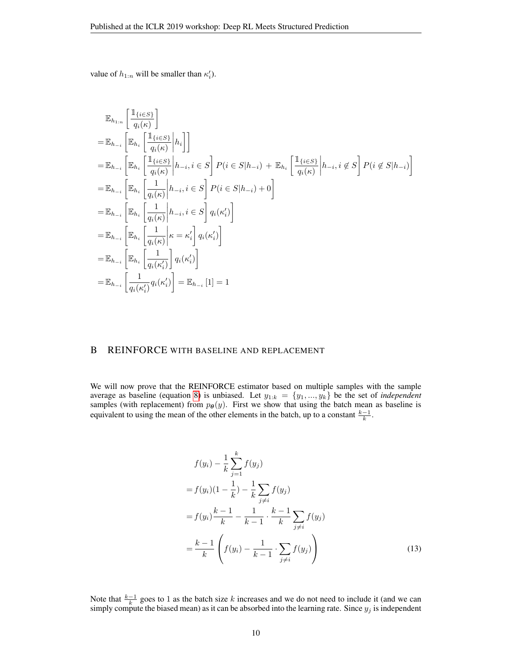value of  $h_{1:n}$  will be smaller than  $\kappa'_i$ ).

$$
\mathbb{E}_{h_{1:n}}\left[\frac{\mathbb{I}_{\{i\in S\}}}{q_i(\kappa)}\right]
$$
\n
$$
= \mathbb{E}_{h_{-i}}\left[\mathbb{E}_{h_i}\left[\frac{\mathbb{I}_{\{i\in S\}}}{q_i(\kappa)}\Big| h_i\right]\right]
$$
\n
$$
= \mathbb{E}_{h_{-i}}\left[\mathbb{E}_{h_i}\left[\frac{\mathbb{I}_{\{i\in S\}}}{q_i(\kappa)}\Big| h_{-i}, i \in S\right] P(i \in S | h_{-i}) + \mathbb{E}_{h_i}\left[\frac{\mathbb{I}_{\{i\in S\}}}{q_i(\kappa)}\Big| h_{-i}, i \notin S\right] P(i \notin S | h_{-i})\right]
$$
\n
$$
= \mathbb{E}_{h_{-i}}\left[\mathbb{E}_{h_i}\left[\frac{1}{q_i(\kappa)}\Big| h_{-i}, i \in S\right] P(i \in S | h_{-i}) + 0\right]
$$
\n
$$
= \mathbb{E}_{h_{-i}}\left[\mathbb{E}_{h_i}\left[\frac{1}{q_i(\kappa)}\Big| h_{-i}, i \in S\right] q_i(\kappa_i')\right]
$$
\n
$$
= \mathbb{E}_{h_{-i}}\left[\mathbb{E}_{h_i}\left[\frac{1}{q_i(\kappa)}\Big| \kappa = \kappa_i'\right] q_i(\kappa_i')\right]
$$
\n
$$
= \mathbb{E}_{h_{-i}}\left[\mathbb{E}_{h_i}\left[\frac{1}{q_i(\kappa_i')}\Big| q_i(\kappa_i')\right]
$$
\n
$$
= \mathbb{E}_{h_{-i}}\left[\frac{1}{q_i(\kappa_i')} q_i(\kappa_i')\right] = \mathbb{E}_{h_{-i}}\left[1\right] = 1
$$

# <span id="page-9-0"></span>B REINFORCE WITH BASELINE AND REPLACEMENT

We will now prove that the REINFORCE estimator based on multiple samples with the sample average as baseline (equation [8\)](#page-2-0) is unbiased. Let  $y_{1:k} = \{y_1, ..., y_k\}$  be the set of *independent* samples (with replacement) from  $p_{\theta}(y)$ . First we show that using the batch mean as baseline is equivalent to using the mean of the other elements in the batch, up to a constant  $\frac{k-1}{k}$ .

<span id="page-9-1"></span>
$$
f(y_i) - \frac{1}{k} \sum_{j=1}^{k} f(y_j)
$$
  
=  $f(y_i)(1 - \frac{1}{k}) - \frac{1}{k} \sum_{j \neq i} f(y_j)$   
=  $f(y_i) \frac{k-1}{k} - \frac{1}{k-1} \cdot \frac{k-1}{k} \sum_{j \neq i} f(y_j)$   
=  $\frac{k-1}{k} \left( f(y_i) - \frac{1}{k-1} \cdot \sum_{j \neq i} f(y_j) \right)$  (13)

Note that  $\frac{k-1}{k}$  goes to 1 as the batch size k increases and we do not need to include it (and we can simply compute the biased mean) as it can be absorbed into the learning rate. Since  $y_j$  is independent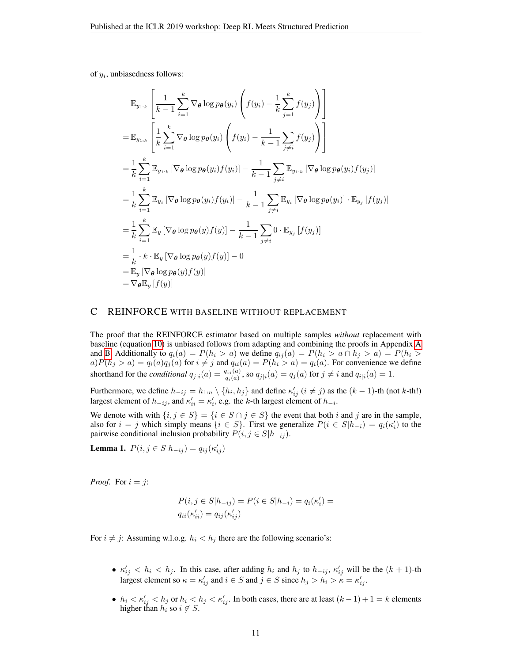of  $y_i$ , unbiasedness follows:

$$
\mathbb{E}_{y_{1:k}}\left[\frac{1}{k-1}\sum_{i=1}^{k}\nabla_{\theta}\log p_{\theta}(y_{i})\left(f(y_{i})-\frac{1}{k}\sum_{j=1}^{k}f(y_{j})\right)\right]
$$
\n
$$
=\mathbb{E}_{y_{1:k}}\left[\frac{1}{k}\sum_{i=1}^{k}\nabla_{\theta}\log p_{\theta}(y_{i})\left(f(y_{i})-\frac{1}{k-1}\sum_{j\neq i}f(y_{j})\right)\right]
$$
\n
$$
=\frac{1}{k}\sum_{i=1}^{k}\mathbb{E}_{y_{1:k}}\left[\nabla_{\theta}\log p_{\theta}(y_{i})f(y_{i})\right]-\frac{1}{k-1}\sum_{j\neq i}\mathbb{E}_{y_{1:k}}\left[\nabla_{\theta}\log p_{\theta}(y_{i})f(y_{j})\right]
$$
\n
$$
=\frac{1}{k}\sum_{i=1}^{k}\mathbb{E}_{y_{i}}\left[\nabla_{\theta}\log p_{\theta}(y_{i})f(y_{i})\right]-\frac{1}{k-1}\sum_{j\neq i}\mathbb{E}_{y_{i}}\left[\nabla_{\theta}\log p_{\theta}(y_{i})\right]\cdot\mathbb{E}_{y_{j}}\left[f(y_{j})\right]
$$
\n
$$
=\frac{1}{k}\sum_{i=1}^{k}\mathbb{E}_{y}\left[\nabla_{\theta}\log p_{\theta}(y)f(y)\right]-\frac{1}{k-1}\sum_{j\neq i}0\cdot\mathbb{E}_{y_{j}}\left[f(y_{j})\right]
$$
\n
$$
=\frac{1}{k}\cdot k\cdot\mathbb{E}_{y}\left[\nabla_{\theta}\log p_{\theta}(y)f(y)\right]-0
$$
\n
$$
=\mathbb{E}_{y}\left[\nabla_{\theta}\log p_{\theta}(y)f(y)\right]
$$
\n
$$
=\nabla_{\theta}\mathbb{E}_{y}\left[f(y)\right]
$$

## <span id="page-10-0"></span>C REINFORCE WITH BASELINE WITHOUT REPLACEMENT

The proof that the REINFORCE estimator based on multiple samples *without* replacement with baseline (equation [10\)](#page-3-0) is unbiased follows from adapting and combining the proofs in Appendix [A](#page-8-0) and [B.](#page-9-0) Additionally to  $q_i(a) = P(h_i > a)$  we define  $q_{ij}(a) = P(h_i > a \cap h_j > a) = P(h_i > a)$  $a)P(h_j > a) = q_i(a)q_j(a)$  for  $i \neq j$  and  $q_{ii}(a) = P(h_i > a) = q_i(a)$ . For convenience we define shorthand for the *conditional*  $q_{j|i}(a) = \frac{q_{ij}(a)}{q_i(a)}$ , so  $q_{j|i}(a) = q_j(a)$  for  $j \neq i$  and  $q_{i|i}(a) = 1$ .

Furthermore, we define  $h_{-ij} = h_{1:n} \setminus \{h_i, h_j\}$  and define  $\kappa'_{ij}$   $(i \neq j)$  as the  $(k-1)$ -th (not k-th!) largest element of  $h_{-ij}$ , and  $\kappa'_{ii} = \kappa'_i$ , e.g. the k-th largest element of  $h_{-i}$ .

We denote with with  $\{i, j \in S\} = \{i \in S \cap j \in S\}$  the event that both i and j are in the sample, also for  $i = j$  which simply means  $\{i \in S\}$ . First we generalize  $P(i \in S | h_{-i}) = q_i(\kappa'_i)$  to the pairwise conditional inclusion probability  $P(i, j \in S | h_{-ij})$ .

**Lemma 1.**  $P(i, j \in S | h_{-ij}) = q_{ij}(\kappa'_{ij})$ 

*Proof.* For  $i = j$ :

$$
P(i, j \in S | h_{-ij}) = P(i \in S | h_{-i}) = q_i(\kappa'_i) = q_{ii}(\kappa'_{ii}) = q_{ij}(\kappa'_{ij})
$$

For  $i \neq j$ : Assuming w.l.o.g.  $h_i < h_j$  there are the following scenario's:

- $\kappa'_{ij} < h_i < h_j$ . In this case, after adding  $h_i$  and  $h_j$  to  $h_{-ij}$ ,  $\kappa'_{ij}$  will be the  $(k+1)$ -th largest element so  $\kappa = \kappa'_{ij}$  and  $i \in S$  and  $j \in S$  since  $h_j > h_i > \kappa = \kappa'_{ij}$ .
- $h_i < \kappa'_{ij} < h_j$  or  $h_i < h_j < \kappa'_{ij}$ . In both cases, there are at least  $(k-1)+1 = k$  elements higher than  $h_i$  so  $i \notin S$ .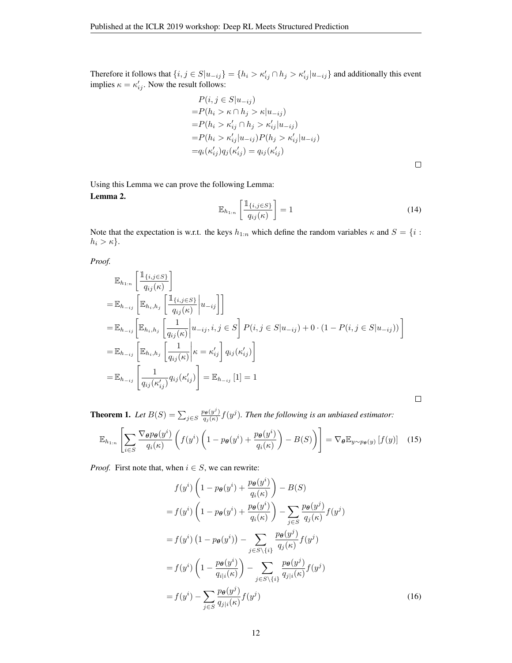Therefore it follows that  $\{i, j \in S | u_{-ij} \} = \{h_i > \kappa'_{ij} \cap h_j > \kappa'_{ij} | u_{-ij} \}$  and additionally this event implies  $\kappa = \kappa'_{ij}$ . Now the result follows:

$$
P(i, j \in S | u_{-ij})
$$
  
=  $P(h_i > \kappa \cap h_j > \kappa | u_{-ij})$   
=  $P(h_i > \kappa'_{ij} \cap h_j > \kappa'_{ij} | u_{-ij})$   
=  $P(h_i > \kappa'_{ij} | u_{-ij}) P(h_j > \kappa'_{ij} | u_{-ij})$   
=  $q_i(\kappa'_{ij}) q_j(\kappa'_{ij}) = q_{ij}(\kappa'_{ij})$ 

 $\Box$ 

<span id="page-11-1"></span> $\Box$ 

Using this Lemma we can prove the following Lemma: Lemma 2.

$$
\mathbb{E}_{h_{1:n}}\left[\frac{\mathbb{1}_{\{i,j\in S\}}}{q_{ij}(\kappa)}\right] = 1\tag{14}
$$

Note that the expectation is w.r.t. the keys  $h_{1:n}$  which define the random variables  $\kappa$  and  $S = \{i :$  $h_i > \kappa$ .

*Proof.*

$$
\mathbb{E}_{h_{1:n}}\left[\frac{\mathbb{1}_{\{i,j\in S\}}}{q_{ij}(\kappa)}\right]
$$
\n
$$
= \mathbb{E}_{h_{-ij}}\left[\mathbb{E}_{h_i,h_j}\left[\frac{\mathbb{1}_{\{i,j\in S\}}}{q_{ij}(\kappa)}\Big|u_{-ij}\right]\right]
$$
\n
$$
= \mathbb{E}_{h_{-ij}}\left[\mathbb{E}_{h_i,h_j}\left[\frac{1}{q_{ij}(\kappa)}\Big|u_{-ij},i,j\in S\right]P(i,j\in S|u_{-ij}) + 0\cdot(1-P(i,j\in S|u_{-ij}))\right]
$$
\n
$$
= \mathbb{E}_{h_{-ij}}\left[\mathbb{E}_{h_i,h_j}\left[\frac{1}{q_{ij}(\kappa)}\Big|\kappa = \kappa'_{ij}\right]q_{ij}(\kappa'_{ij})\right]
$$
\n
$$
= \mathbb{E}_{h_{-ij}}\left[\frac{1}{q_{ij}(\kappa'_{ij})}q_{ij}(\kappa'_{ij})\right] = \mathbb{E}_{h_{-ij}}\left[1\right] = 1
$$

**Theorem 1.** Let  $B(S) = \sum_{j \in S} \frac{p_{\theta}(y^j)}{q_j(\kappa)}$  $\frac{\partial \theta(y')}{\partial q_j(\kappa)} f(y^j)$ . Then the following is an unbiased estimator:

<span id="page-11-0"></span>
$$
\mathbb{E}_{h_{1:n}}\left[\sum_{i\in S}\frac{\nabla_{\theta}p_{\theta}(y^{i})}{q_{i}(\kappa)}\left(f(y^{i})\left(1-p_{\theta}(y^{i})+\frac{p_{\theta}(y^{i})}{q_{i}(\kappa)}\right)-B(S)\right)\right]=\nabla_{\theta}\mathbb{E}_{y\sim p_{\theta}(y)}\left[f(y)\right]
$$
(15)

*Proof.* First note that, when  $i \in S$ , we can rewrite:

$$
f(y^i) \left(1 - p_{\theta}(y^i) + \frac{p_{\theta}(y^i)}{q_i(\kappa)}\right) - B(S)
$$
  
\n
$$
= f(y^i) \left(1 - p_{\theta}(y^i) + \frac{p_{\theta}(y^i)}{q_i(\kappa)}\right) - \sum_{j \in S} \frac{p_{\theta}(y^j)}{q_j(\kappa)} f(y^j)
$$
  
\n
$$
= f(y^i) \left(1 - p_{\theta}(y^i)\right) - \sum_{j \in S \setminus \{i\}} \frac{p_{\theta}(y^j)}{q_j(\kappa)} f(y^j)
$$
  
\n
$$
= f(y^i) \left(1 - \frac{p_{\theta}(y^i)}{q_{i|\kappa}(\kappa)}\right) - \sum_{j \in S \setminus \{i\}} \frac{p_{\theta}(y^j)}{q_{j|\kappa}(\kappa)} f(y^j)
$$
  
\n
$$
= f(y^i) - \sum_{j \in S} \frac{p_{\theta}(y^j)}{q_{j|\kappa}(\kappa)} f(y^j)
$$
(16)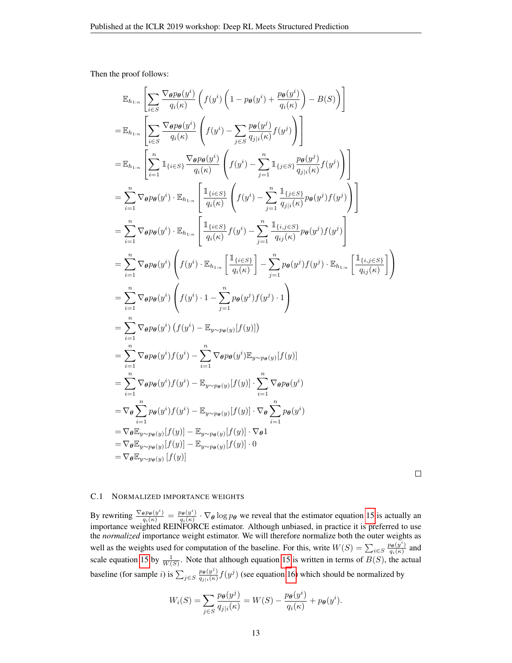Then the proof follows:

$$
\mathbb{E}_{h_{1:n}}\left[\sum_{i\in S}\frac{\nabla_{\theta}p_{\theta}(y^{i})}{q_{i}(\kappa)}\left(f(y^{i})\left(1-p_{\theta}(y^{i})+\frac{p_{\theta}(y^{i})}{q_{i}(\kappa)}\right)-B(S)\right)\right]
$$
\n
$$
=\mathbb{E}_{h_{1:n}}\left[\sum_{i\in S}\frac{\nabla_{\theta}p_{\theta}(y^{i})}{q_{i}(\kappa)}\left(f(y^{i})-\sum_{j\in S}\frac{p_{\theta}(y^{j})}{q_{j}(\kappa)}f(y^{j})\right)\right]
$$
\n
$$
=\mathbb{E}_{h_{1:n}}\left[\sum_{i=1}^{n}\mathbb{1}_{\{i\in S\}}\frac{\nabla_{\theta}p_{\theta}(y^{i})}{q_{i}(\kappa)}\left(f(y^{i})-\sum_{j=1}^{n}\mathbb{1}_{\{j\in S\}}\frac{p_{\theta}(y^{j})}{q_{j}(\kappa)}f(y^{j})\right)\right]
$$
\n
$$
=\sum_{i=1}^{n}\nabla_{\theta}p_{\theta}(y^{i})\cdot\mathbb{E}_{h_{1:n}}\left[\frac{\mathbb{1}_{\{i\in S\}}}{q_{i}(\kappa)}\left(f(y^{i})-\sum_{j=1}^{n}\frac{\mathbb{1}_{\{j\in S\}}}{q_{j}(\kappa)}p_{\theta}(y^{j})f(y^{j})\right)\right]
$$
\n
$$
=\sum_{i=1}^{n}\nabla_{\theta}p_{\theta}(y^{i})\cdot\mathbb{E}_{h_{1:n}}\left[\frac{\mathbb{1}_{\{i\in S\}}}{q_{i}(\kappa)}f(y^{i})-\sum_{j=1}^{n}\frac{\mathbb{1}_{\{i,j\in S\}}}{q_{i}(\kappa)}p_{\theta}(y^{j})f(y^{j})\right]
$$
\n
$$
=\sum_{i=1}^{n}\nabla_{\theta}p_{\theta}(y^{i})\left(f(y^{i})\cdot\mathbb{E}_{h_{1:n}}\left[\frac{\mathbb{1}_{\{i\in S\}}}{q_{i}(\kappa)}\right]-\sum_{j=1}^{n}p_{\theta}(y^{j})f(y^{j})\cdot\mathbb{E}_{h_{1:n}}\left[\frac{\mathbb{1}_{\{i,j\in S\}}}{q_{i}(\kappa)}\right]\right)
$$
\n

 $\Box$ 

## <span id="page-12-0"></span>C.1 NORMALIZED IMPORTANCE WEIGHTS

By rewriting  $\frac{\nabla_{\theta} p_{\theta}(y^i)}{q_i(\kappa)} = \frac{p_{\theta}(y^i)}{q_i(\kappa)}$  $\frac{\partial \theta(y)}{\partial q_i(\kappa)} \cdot \nabla_{\theta} \log p_{\theta}$  we reveal that the estimator equation [15](#page-11-0) is actually an importance weighted REINFORCE estimator. Although unbiased, in practice it is preferred to use the *normalized* importance weight estimator. We will therefore normalize both the outer weights as well as the weights used for computation of the baseline. For this, write  $W(S) = \sum_{i \in S} \frac{p_{\theta}(y^i)}{q_i(\kappa)}$  $\frac{\partial \theta(y)}{q_i(\kappa)}$  and scale equation [15](#page-11-0) by  $\frac{1}{W(S)}$ . Note that although equation 15 is written in terms of  $B(S)$ , the actual baseline (for sample *i*) is  $\sum_{j \in S} \frac{p_{\theta}(y^j)}{q_{j|j}(\kappa)}$  $\frac{p_{\theta}(y')}{q_{j|i}(k)} f(y^j)$  (see equation [16\)](#page-11-1) which should be normalized by

$$
W_i(S) = \sum_{j \in S} \frac{p_{\boldsymbol{\theta}}(y^j)}{q_{j|i}(\kappa)} = W(S) - \frac{p_{\boldsymbol{\theta}}(y^i)}{q_i(\kappa)} + p_{\boldsymbol{\theta}}(y^i).
$$